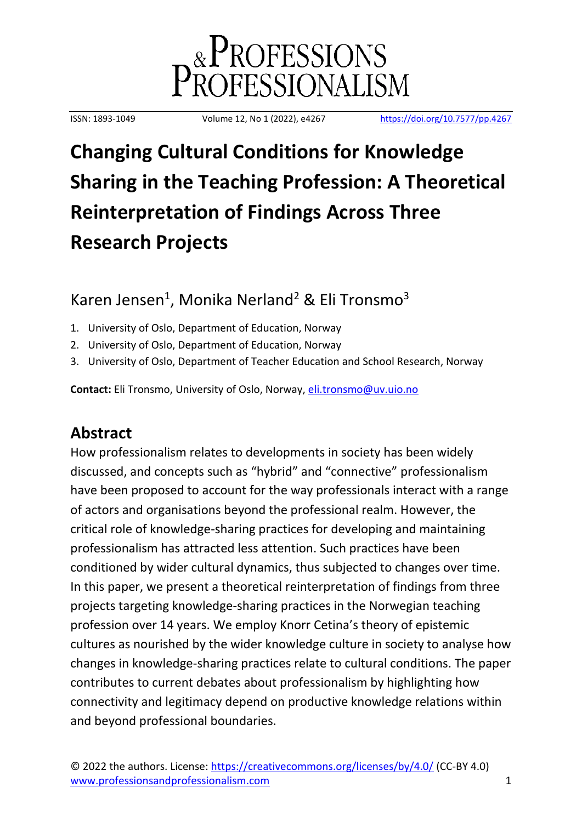

ISSN: 1893-1049 Volume 12, No 1 (2022), e4267 <https://doi.org/10.7577/pp.4267>

# **Changing Cultural Conditions for Knowledge Sharing in the Teaching Profession: A Theoretical Reinterpretation of Findings Across Three Research Projects**

# Karen Jensen<sup>1</sup>, Monika Nerland<sup>2</sup> & Eli Tronsmo<sup>3</sup>

- 1. University of Oslo, Department of Education, Norway
- 2. University of Oslo, Department of Education, Norway
- 3. University of Oslo, Department of Teacher Education and School Research, Norway

**Contact:** Eli Tronsmo, University of Oslo, Norway, [eli.tronsmo@uv.uio.no](mailto:eli.tronsmo@uv.uio.no)

# **Abstract**

How professionalism relates to developments in society has been widely discussed, and concepts such as "hybrid" and "connective" professionalism have been proposed to account for the way professionals interact with a range of actors and organisations beyond the professional realm. However, the critical role of knowledge-sharing practices for developing and maintaining professionalism has attracted less attention. Such practices have been conditioned by wider cultural dynamics, thus subjected to changes over time. In this paper, we present a theoretical reinterpretation of findings from three projects targeting knowledge-sharing practices in the Norwegian teaching profession over 14 years. We employ Knorr Cetina's theory of epistemic cultures as nourished by the wider knowledge culture in society to analyse how changes in knowledge-sharing practices relate to cultural conditions. The paper contributes to current debates about professionalism by highlighting how connectivity and legitimacy depend on productive knowledge relations within and beyond professional boundaries.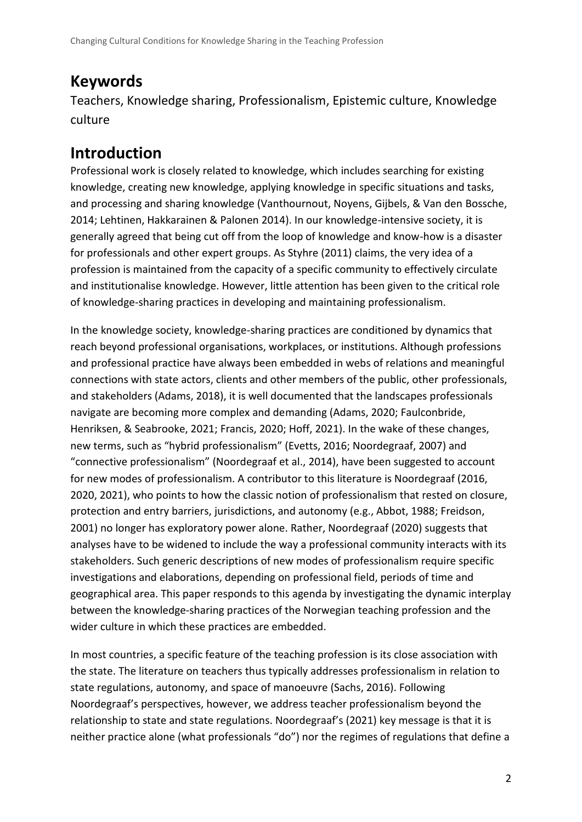## **Keywords**

Teachers, Knowledge sharing, Professionalism, Epistemic culture, Knowledge culture

# **Introduction**

Professional work is closely related to knowledge, which includes searching for existing knowledge, creating new knowledge, applying knowledge in specific situations and tasks, and processing and sharing knowledge (Vanthournout, Noyens, Gijbels, & Van den Bossche, 2014; Lehtinen, Hakkarainen & Palonen 2014). In our knowledge-intensive society, it is generally agreed that being cut off from the loop of knowledge and know-how is a disaster for professionals and other expert groups. As Styhre (2011) claims, the very idea of a profession is maintained from the capacity of a specific community to effectively circulate and institutionalise knowledge. However, little attention has been given to the critical role of knowledge-sharing practices in developing and maintaining professionalism.

In the knowledge society, knowledge-sharing practices are conditioned by dynamics that reach beyond professional organisations, workplaces, or institutions. Although professions and professional practice have always been embedded in webs of relations and meaningful connections with state actors, clients and other members of the public, other professionals, and stakeholders (Adams, 2018), it is well documented that the landscapes professionals navigate are becoming more complex and demanding (Adams, 2020; Faulconbride, Henriksen, & Seabrooke, 2021; Francis, 2020; Hoff, 2021). In the wake of these changes, new terms, such as "hybrid professionalism" (Evetts, 2016; Noordegraaf, 2007) and "connective professionalism" (Noordegraaf et al., 2014), have been suggested to account for new modes of professionalism. A contributor to this literature is Noordegraaf (2016, 2020, 2021), who points to how the classic notion of professionalism that rested on closure, protection and entry barriers, jurisdictions, and autonomy (e.g., Abbot, 1988; Freidson, 2001) no longer has exploratory power alone. Rather, Noordegraaf (2020) suggests that analyses have to be widened to include the way a professional community interacts with its stakeholders. Such generic descriptions of new modes of professionalism require specific investigations and elaborations, depending on professional field, periods of time and geographical area. This paper responds to this agenda by investigating the dynamic interplay between the knowledge-sharing practices of the Norwegian teaching profession and the wider culture in which these practices are embedded.

In most countries, a specific feature of the teaching profession is its close association with the state. The literature on teachers thus typically addresses professionalism in relation to state regulations, autonomy, and space of manoeuvre (Sachs, 2016). Following Noordegraaf's perspectives, however, we address teacher professionalism beyond the relationship to state and state regulations. Noordegraaf's (2021) key message is that it is neither practice alone (what professionals "do") nor the regimes of regulations that define a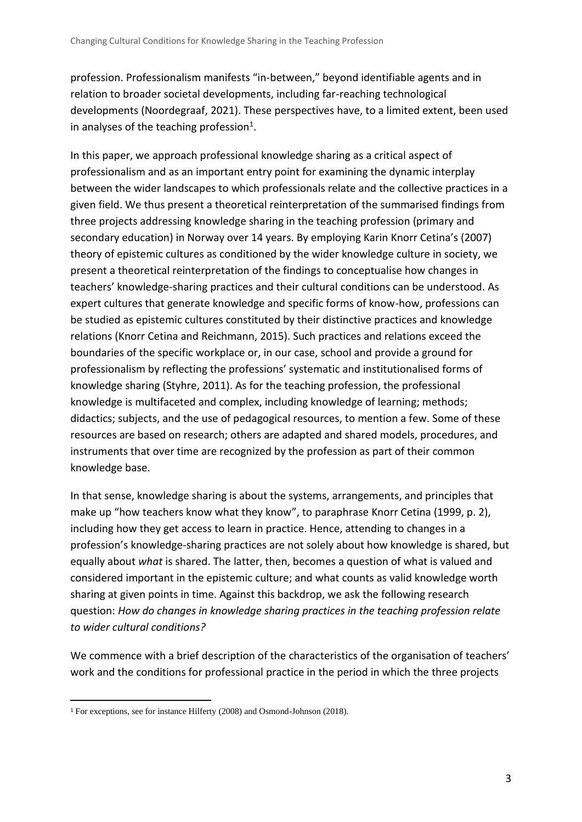profession. Professionalism manifests "in-between," beyond identifiable agents and in relation to broader societal developments, including far-reaching technological developments (Noordegraaf, 2021). These perspectives have, to a limited extent, been used in analyses of the teaching profession<sup>1</sup>.

In this paper, we approach professional knowledge sharing as a critical aspect of professionalism and as an important entry point for examining the dynamic interplay between the wider landscapes to which professionals relate and the collective practices in a given field. We thus present a theoretical reinterpretation of the summarised findings from three projects addressing knowledge sharing in the teaching profession (primary and secondary education) in Norway over 14 years. By employing Karin Knorr Cetina's (2007) theory of epistemic cultures as conditioned by the wider knowledge culture in society, we present a theoretical reinterpretation of the findings to conceptualise how changes in teachers' knowledge-sharing practices and their cultural conditions can be understood. As expert cultures that generate knowledge and specific forms of know-how, professions can be studied as epistemic cultures constituted by their distinctive practices and knowledge relations (Knorr Cetina and Reichmann, 2015). Such practices and relations exceed the boundaries of the specific workplace or, in our case, school and provide a ground for professionalism by reflecting the professions' systematic and institutionalised forms of knowledge sharing (Styhre, 2011). As for the teaching profession, the professional knowledge is multifaceted and complex, including knowledge of learning; methods; didactics; subjects, and the use of pedagogical resources, to mention a few. Some of these resources are based on research; others are adapted and shared models, procedures, and instruments that over time are recognized by the profession as part of their common knowledge base.

In that sense, knowledge sharing is about the systems, arrangements, and principles that make up "how teachers know what they know", to paraphrase Knorr Cetina (1999, p. 2), including how they get access to learn in practice. Hence, attending to changes in a profession's knowledge-sharing practices are not solely about how knowledge is shared, but equally about *what* is shared. The latter, then, becomes a question of what is valued and considered important in the epistemic culture; and what counts as valid knowledge worth sharing at given points in time. Against this backdrop, we ask the following research question: *How do changes in knowledge sharing practices in the teaching profession relate to wider cultural conditions?*

We commence with a brief description of the characteristics of the organisation of teachers' work and the conditions for professional practice in the period in which the three projects

<sup>1</sup> For exceptions, see for instance Hilferty (2008) and Osmond-Johnson (2018).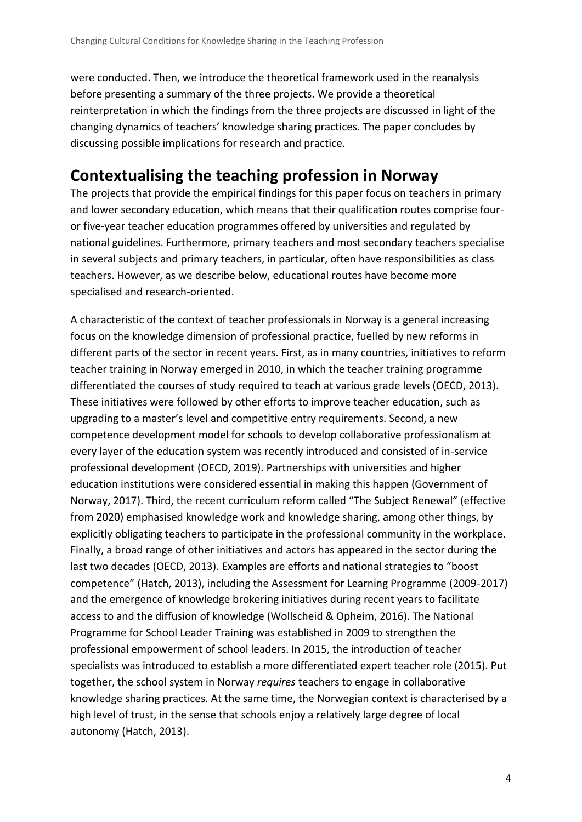were conducted. Then, we introduce the theoretical framework used in the reanalysis before presenting a summary of the three projects. We provide a theoretical reinterpretation in which the findings from the three projects are discussed in light of the changing dynamics of teachers' knowledge sharing practices. The paper concludes by discussing possible implications for research and practice.

## **Contextualising the teaching profession in Norway**

The projects that provide the empirical findings for this paper focus on teachers in primary and lower secondary education, which means that their qualification routes comprise fouror five-year teacher education programmes offered by universities and regulated by national guidelines. Furthermore, primary teachers and most secondary teachers specialise in several subjects and primary teachers, in particular, often have responsibilities as class teachers. However, as we describe below, educational routes have become more specialised and research-oriented.

A characteristic of the context of teacher professionals in Norway is a general increasing focus on the knowledge dimension of professional practice, fuelled by new reforms in different parts of the sector in recent years. First, as in many countries, initiatives to reform teacher training in Norway emerged in 2010, in which the teacher training programme differentiated the courses of study required to teach at various grade levels (OECD, 2013). These initiatives were followed by other efforts to improve teacher education, such as upgrading to a master's level and competitive entry requirements. Second, a new competence development model for schools to develop collaborative professionalism at every layer of the education system was recently introduced and consisted of in-service professional development (OECD, 2019). Partnerships with universities and higher education institutions were considered essential in making this happen (Government of Norway, 2017). Third, the recent curriculum reform called "The Subject Renewal" (effective from 2020) emphasised knowledge work and knowledge sharing, among other things, by explicitly obligating teachers to participate in the professional community in the workplace. Finally, a broad range of other initiatives and actors has appeared in the sector during the last two decades (OECD, 2013). Examples are efforts and national strategies to "boost competence" (Hatch, 2013), including the Assessment for Learning Programme (2009-2017) and the emergence of knowledge brokering initiatives during recent years to facilitate access to and the diffusion of knowledge (Wollscheid & Opheim, 2016). The National Programme for School Leader Training was established in 2009 to strengthen the professional empowerment of school leaders. In 2015, the introduction of teacher specialists was introduced to establish a more differentiated expert teacher role (2015). Put together, the school system in Norway *requires* teachers to engage in collaborative knowledge sharing practices. At the same time, the Norwegian context is characterised by a high level of trust, in the sense that schools enjoy a relatively large degree of local autonomy (Hatch, 2013).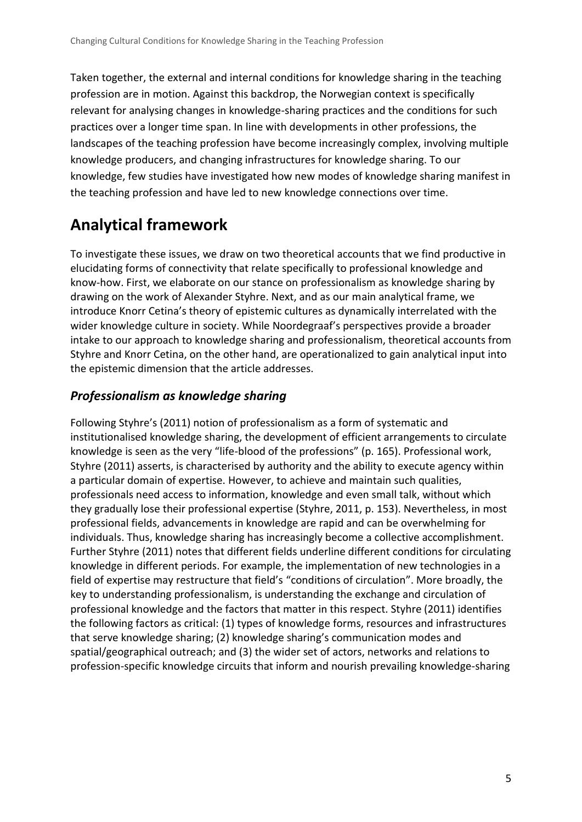Taken together, the external and internal conditions for knowledge sharing in the teaching profession are in motion. Against this backdrop, the Norwegian context is specifically relevant for analysing changes in knowledge-sharing practices and the conditions for such practices over a longer time span. In line with developments in other professions, the landscapes of the teaching profession have become increasingly complex, involving multiple knowledge producers, and changing infrastructures for knowledge sharing. To our knowledge, few studies have investigated how new modes of knowledge sharing manifest in the teaching profession and have led to new knowledge connections over time.

# **Analytical framework**

To investigate these issues, we draw on two theoretical accounts that we find productive in elucidating forms of connectivity that relate specifically to professional knowledge and know-how. First, we elaborate on our stance on professionalism as knowledge sharing by drawing on the work of Alexander Styhre. Next, and as our main analytical frame, we introduce Knorr Cetina's theory of epistemic cultures as dynamically interrelated with the wider knowledge culture in society. While Noordegraaf's perspectives provide a broader intake to our approach to knowledge sharing and professionalism, theoretical accounts from Styhre and Knorr Cetina, on the other hand, are operationalized to gain analytical input into the epistemic dimension that the article addresses.

#### *Professionalism as knowledge sharing*

Following Styhre's (2011) notion of professionalism as a form of systematic and institutionalised knowledge sharing, the development of efficient arrangements to circulate knowledge is seen as the very "life-blood of the professions" (p. 165). Professional work, Styhre (2011) asserts, is characterised by authority and the ability to execute agency within a particular domain of expertise. However, to achieve and maintain such qualities, professionals need access to information, knowledge and even small talk, without which they gradually lose their professional expertise (Styhre, 2011, p. 153). Nevertheless, in most professional fields, advancements in knowledge are rapid and can be overwhelming for individuals. Thus, knowledge sharing has increasingly become a collective accomplishment. Further Styhre (2011) notes that different fields underline different conditions for circulating knowledge in different periods. For example, the implementation of new technologies in a field of expertise may restructure that field's "conditions of circulation". More broadly, the key to understanding professionalism, is understanding the exchange and circulation of professional knowledge and the factors that matter in this respect. Styhre (2011) identifies the following factors as critical: (1) types of knowledge forms, resources and infrastructures that serve knowledge sharing; (2) knowledge sharing's communication modes and spatial/geographical outreach; and (3) the wider set of actors, networks and relations to profession-specific knowledge circuits that inform and nourish prevailing knowledge-sharing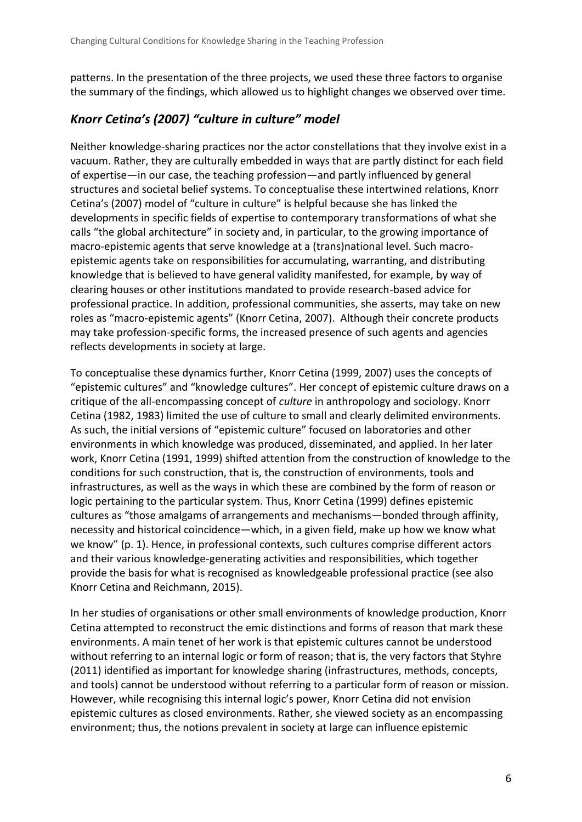patterns. In the presentation of the three projects, we used these three factors to organise the summary of the findings, which allowed us to highlight changes we observed over time.

#### *Knorr Cetina's (2007) "culture in culture" model*

Neither knowledge-sharing practices nor the actor constellations that they involve exist in a vacuum. Rather, they are culturally embedded in ways that are partly distinct for each field of expertise—in our case, the teaching profession—and partly influenced by general structures and societal belief systems. To conceptualise these intertwined relations, Knorr Cetina's (2007) model of "culture in culture" is helpful because she has linked the developments in specific fields of expertise to contemporary transformations of what she calls "the global architecture" in society and, in particular, to the growing importance of macro-epistemic agents that serve knowledge at a (trans)national level. Such macroepistemic agents take on responsibilities for accumulating, warranting, and distributing knowledge that is believed to have general validity manifested, for example, by way of clearing houses or other institutions mandated to provide research-based advice for professional practice. In addition, professional communities, she asserts, may take on new roles as "macro-epistemic agents" (Knorr Cetina, 2007). Although their concrete products may take profession-specific forms, the increased presence of such agents and agencies reflects developments in society at large.

To conceptualise these dynamics further, Knorr Cetina (1999, 2007) uses the concepts of "epistemic cultures" and "knowledge cultures". Her concept of epistemic culture draws on a critique of the all-encompassing concept of *culture* in anthropology and sociology. Knorr Cetina (1982, 1983) limited the use of culture to small and clearly delimited environments. As such, the initial versions of "epistemic culture" focused on laboratories and other environments in which knowledge was produced, disseminated, and applied. In her later work, Knorr Cetina (1991, 1999) shifted attention from the construction of knowledge to the conditions for such construction, that is, the construction of environments, tools and infrastructures, as well as the ways in which these are combined by the form of reason or logic pertaining to the particular system. Thus, Knorr Cetina (1999) defines epistemic cultures as "those amalgams of arrangements and mechanisms—bonded through affinity, necessity and historical coincidence—which, in a given field, make up how we know what we know" (p. 1). Hence, in professional contexts, such cultures comprise different actors and their various knowledge-generating activities and responsibilities, which together provide the basis for what is recognised as knowledgeable professional practice (see also Knorr Cetina and Reichmann, 2015).

In her studies of organisations or other small environments of knowledge production, Knorr Cetina attempted to reconstruct the emic distinctions and forms of reason that mark these environments. A main tenet of her work is that epistemic cultures cannot be understood without referring to an internal logic or form of reason; that is, the very factors that Styhre (2011) identified as important for knowledge sharing (infrastructures, methods, concepts, and tools) cannot be understood without referring to a particular form of reason or mission. However, while recognising this internal logic's power, Knorr Cetina did not envision epistemic cultures as closed environments. Rather, she viewed society as an encompassing environment; thus, the notions prevalent in society at large can influence epistemic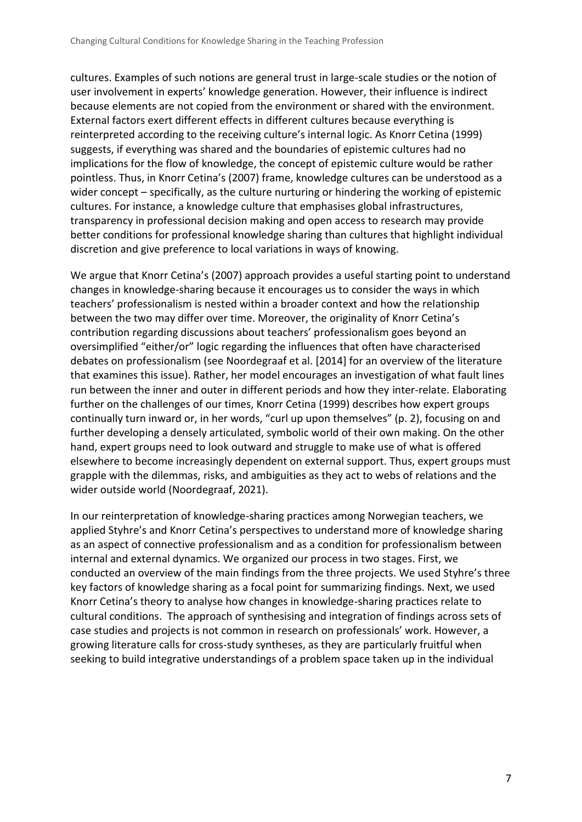cultures. Examples of such notions are general trust in large-scale studies or the notion of user involvement in experts' knowledge generation. However, their influence is indirect because elements are not copied from the environment or shared with the environment. External factors exert different effects in different cultures because everything is reinterpreted according to the receiving culture's internal logic. As Knorr Cetina (1999) suggests, if everything was shared and the boundaries of epistemic cultures had no implications for the flow of knowledge, the concept of epistemic culture would be rather pointless. Thus, in Knorr Cetina's (2007) frame, knowledge cultures can be understood as a wider concept – specifically, as the culture nurturing or hindering the working of epistemic cultures. For instance, a knowledge culture that emphasises global infrastructures, transparency in professional decision making and open access to research may provide better conditions for professional knowledge sharing than cultures that highlight individual discretion and give preference to local variations in ways of knowing.

We argue that Knorr Cetina's (2007) approach provides a useful starting point to understand changes in knowledge-sharing because it encourages us to consider the ways in which teachers' professionalism is nested within a broader context and how the relationship between the two may differ over time. Moreover, the originality of Knorr Cetina's contribution regarding discussions about teachers' professionalism goes beyond an oversimplified "either/or" logic regarding the influences that often have characterised debates on professionalism (see Noordegraaf et al. [2014] for an overview of the literature that examines this issue). Rather, her model encourages an investigation of what fault lines run between the inner and outer in different periods and how they inter-relate. Elaborating further on the challenges of our times, Knorr Cetina (1999) describes how expert groups continually turn inward or, in her words, "curl up upon themselves" (p. 2), focusing on and further developing a densely articulated, symbolic world of their own making. On the other hand, expert groups need to look outward and struggle to make use of what is offered elsewhere to become increasingly dependent on external support. Thus, expert groups must grapple with the dilemmas, risks, and ambiguities as they act to webs of relations and the wider outside world (Noordegraaf, 2021).

In our reinterpretation of knowledge-sharing practices among Norwegian teachers, we applied Styhre's and Knorr Cetina's perspectives to understand more of knowledge sharing as an aspect of connective professionalism and as a condition for professionalism between internal and external dynamics. We organized our process in two stages. First, we conducted an overview of the main findings from the three projects. We used Styhre's three key factors of knowledge sharing as a focal point for summarizing findings. Next, we used Knorr Cetina's theory to analyse how changes in knowledge-sharing practices relate to cultural conditions. The approach of synthesising and integration of findings across sets of case studies and projects is not common in research on professionals' work. However, a growing literature calls for cross-study syntheses, as they are particularly fruitful when seeking to build integrative understandings of a problem space taken up in the individual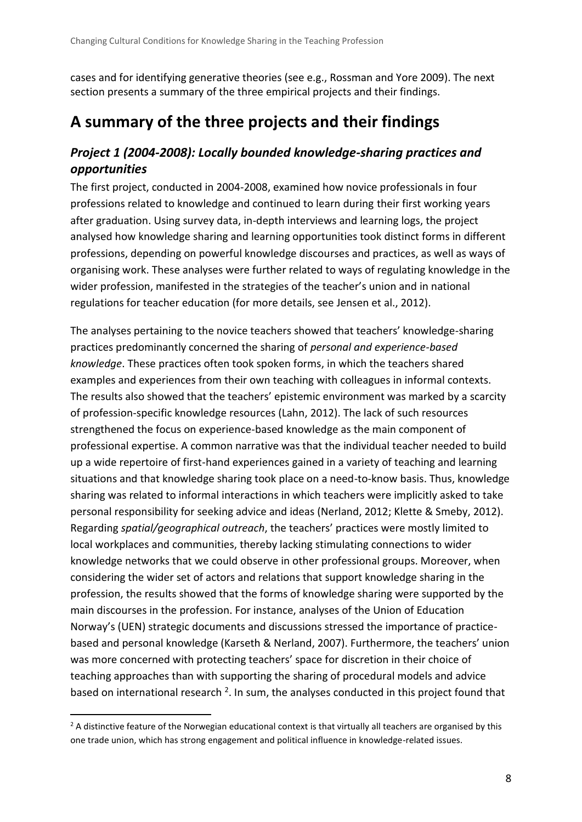cases and for identifying generative theories (see e.g., Rossman and Yore 2009). The next section presents a summary of the three empirical projects and their findings.

# **A summary of the three projects and their findings**

### *Project 1 (2004-2008): Locally bounded knowledge-sharing practices and opportunities*

The first project, conducted in 2004-2008, examined how novice professionals in four professions related to knowledge and continued to learn during their first working years after graduation. Using survey data, in-depth interviews and learning logs, the project analysed how knowledge sharing and learning opportunities took distinct forms in different professions, depending on powerful knowledge discourses and practices, as well as ways of organising work. These analyses were further related to ways of regulating knowledge in the wider profession, manifested in the strategies of the teacher's union and in national regulations for teacher education (for more details, see Jensen et al., 2012).

The analyses pertaining to the novice teachers showed that teachers' knowledge-sharing practices predominantly concerned the sharing of *personal and experience-based knowledge*. These practices often took spoken forms, in which the teachers shared examples and experiences from their own teaching with colleagues in informal contexts. The results also showed that the teachers' epistemic environment was marked by a scarcity of profession-specific knowledge resources (Lahn, 2012). The lack of such resources strengthened the focus on experience-based knowledge as the main component of professional expertise. A common narrative was that the individual teacher needed to build up a wide repertoire of first-hand experiences gained in a variety of teaching and learning situations and that knowledge sharing took place on a need-to-know basis. Thus, knowledge sharing was related to informal interactions in which teachers were implicitly asked to take personal responsibility for seeking advice and ideas (Nerland, 2012; Klette & Smeby, 2012). Regarding *spatial/geographical outreach*, the teachers' practices were mostly limited to local workplaces and communities, thereby lacking stimulating connections to wider knowledge networks that we could observe in other professional groups. Moreover, when considering the wider set of actors and relations that support knowledge sharing in the profession, the results showed that the forms of knowledge sharing were supported by the main discourses in the profession. For instance, analyses of the Union of Education Norway's (UEN) strategic documents and discussions stressed the importance of practicebased and personal knowledge (Karseth & Nerland, 2007). Furthermore, the teachers' union was more concerned with protecting teachers' space for discretion in their choice of teaching approaches than with supporting the sharing of procedural models and advice based on international research <sup>2</sup>. In sum, the analyses conducted in this project found that

 $2$  A distinctive feature of the Norwegian educational context is that virtually all teachers are organised by this one trade union, which has strong engagement and political influence in knowledge-related issues.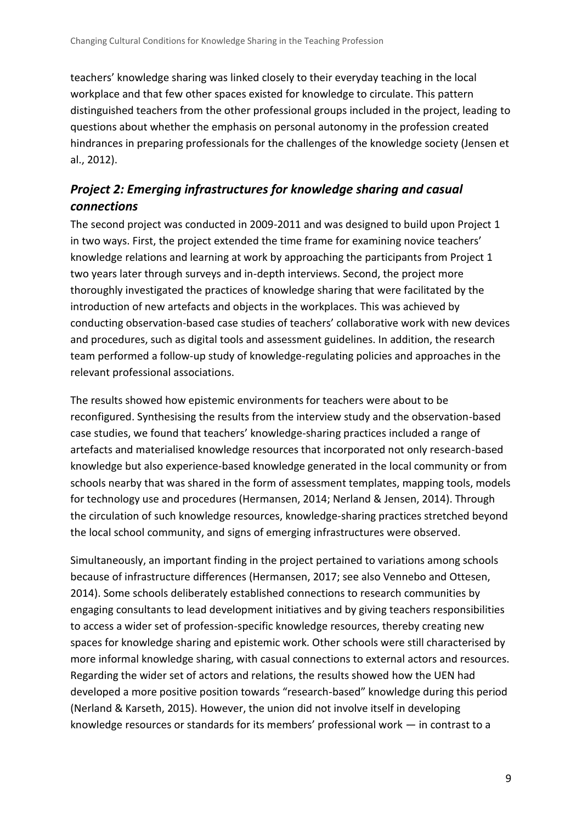teachers' knowledge sharing was linked closely to their everyday teaching in the local workplace and that few other spaces existed for knowledge to circulate. This pattern distinguished teachers from the other professional groups included in the project, leading to questions about whether the emphasis on personal autonomy in the profession created hindrances in preparing professionals for the challenges of the knowledge society (Jensen et al., 2012).

#### *Project 2: Emerging infrastructures for knowledge sharing and casual connections*

The second project was conducted in 2009-2011 and was designed to build upon Project 1 in two ways. First, the project extended the time frame for examining novice teachers' knowledge relations and learning at work by approaching the participants from Project 1 two years later through surveys and in-depth interviews. Second, the project more thoroughly investigated the practices of knowledge sharing that were facilitated by the introduction of new artefacts and objects in the workplaces. This was achieved by conducting observation-based case studies of teachers' collaborative work with new devices and procedures, such as digital tools and assessment guidelines. In addition, the research team performed a follow-up study of knowledge-regulating policies and approaches in the relevant professional associations.

The results showed how epistemic environments for teachers were about to be reconfigured. Synthesising the results from the interview study and the observation-based case studies, we found that teachers' knowledge-sharing practices included a range of artefacts and materialised knowledge resources that incorporated not only research-based knowledge but also experience-based knowledge generated in the local community or from schools nearby that was shared in the form of assessment templates, mapping tools, models for technology use and procedures (Hermansen, 2014; Nerland & Jensen, 2014). Through the circulation of such knowledge resources, knowledge-sharing practices stretched beyond the local school community, and signs of emerging infrastructures were observed.

Simultaneously, an important finding in the project pertained to variations among schools because of infrastructure differences (Hermansen, 2017; see also Vennebo and Ottesen, 2014). Some schools deliberately established connections to research communities by engaging consultants to lead development initiatives and by giving teachers responsibilities to access a wider set of profession-specific knowledge resources, thereby creating new spaces for knowledge sharing and epistemic work. Other schools were still characterised by more informal knowledge sharing, with casual connections to external actors and resources. Regarding the wider set of actors and relations, the results showed how the UEN had developed a more positive position towards "research-based" knowledge during this period (Nerland & Karseth, 2015). However, the union did not involve itself in developing knowledge resources or standards for its members' professional work — in contrast to a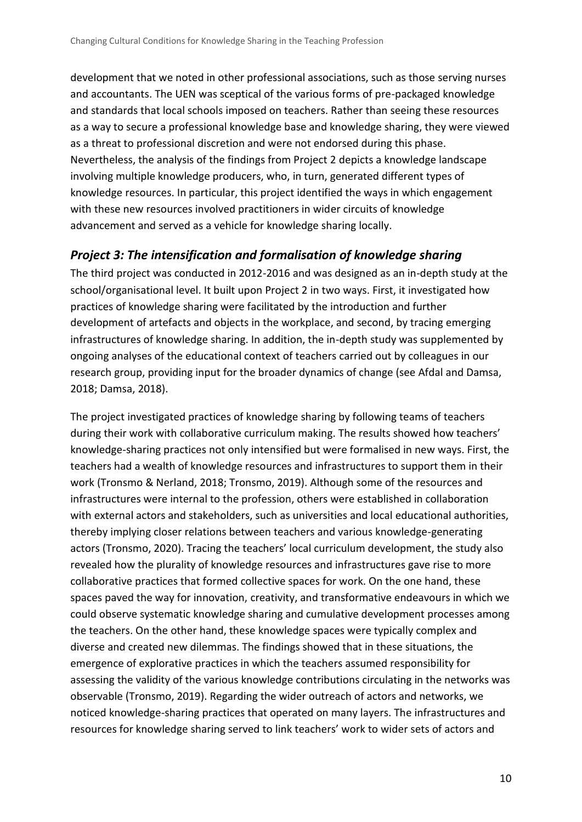development that we noted in other professional associations, such as those serving nurses and accountants. The UEN was sceptical of the various forms of pre-packaged knowledge and standards that local schools imposed on teachers. Rather than seeing these resources as a way to secure a professional knowledge base and knowledge sharing, they were viewed as a threat to professional discretion and were not endorsed during this phase. Nevertheless, the analysis of the findings from Project 2 depicts a knowledge landscape involving multiple knowledge producers, who, in turn, generated different types of knowledge resources. In particular, this project identified the ways in which engagement with these new resources involved practitioners in wider circuits of knowledge advancement and served as a vehicle for knowledge sharing locally.

#### *Project 3: The intensification and formalisation of knowledge sharing*

The third project was conducted in 2012-2016 and was designed as an in-depth study at the school/organisational level. It built upon Project 2 in two ways. First, it investigated how practices of knowledge sharing were facilitated by the introduction and further development of artefacts and objects in the workplace, and second, by tracing emerging infrastructures of knowledge sharing. In addition, the in-depth study was supplemented by ongoing analyses of the educational context of teachers carried out by colleagues in our research group, providing input for the broader dynamics of change (see Afdal and Damsa, 2018; Damsa, 2018).

The project investigated practices of knowledge sharing by following teams of teachers during their work with collaborative curriculum making. The results showed how teachers' knowledge-sharing practices not only intensified but were formalised in new ways. First, the teachers had a wealth of knowledge resources and infrastructures to support them in their work (Tronsmo & Nerland, 2018; Tronsmo, 2019). Although some of the resources and infrastructures were internal to the profession, others were established in collaboration with external actors and stakeholders, such as universities and local educational authorities, thereby implying closer relations between teachers and various knowledge-generating actors (Tronsmo, 2020). Tracing the teachers' local curriculum development, the study also revealed how the plurality of knowledge resources and infrastructures gave rise to more collaborative practices that formed collective spaces for work. On the one hand, these spaces paved the way for innovation, creativity, and transformative endeavours in which we could observe systematic knowledge sharing and cumulative development processes among the teachers. On the other hand, these knowledge spaces were typically complex and diverse and created new dilemmas. The findings showed that in these situations, the emergence of explorative practices in which the teachers assumed responsibility for assessing the validity of the various knowledge contributions circulating in the networks was observable (Tronsmo, 2019). Regarding the wider outreach of actors and networks, we noticed knowledge-sharing practices that operated on many layers. The infrastructures and resources for knowledge sharing served to link teachers' work to wider sets of actors and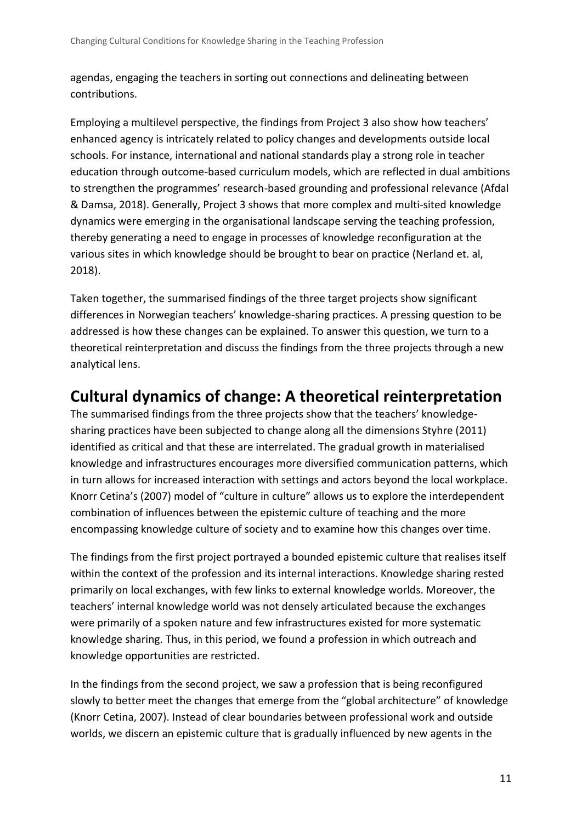agendas, engaging the teachers in sorting out connections and delineating between contributions.

Employing a multilevel perspective, the findings from Project 3 also show how teachers' enhanced agency is intricately related to policy changes and developments outside local schools. For instance, international and national standards play a strong role in teacher education through outcome-based curriculum models, which are reflected in dual ambitions to strengthen the programmes' research-based grounding and professional relevance (Afdal & Damsa, 2018). Generally, Project 3 shows that more complex and multi-sited knowledge dynamics were emerging in the organisational landscape serving the teaching profession, thereby generating a need to engage in processes of knowledge reconfiguration at the various sites in which knowledge should be brought to bear on practice (Nerland et. al, 2018).

Taken together, the summarised findings of the three target projects show significant differences in Norwegian teachers' knowledge-sharing practices. A pressing question to be addressed is how these changes can be explained. To answer this question, we turn to a theoretical reinterpretation and discuss the findings from the three projects through a new analytical lens.

### **Cultural dynamics of change: A theoretical reinterpretation**

The summarised findings from the three projects show that the teachers' knowledgesharing practices have been subjected to change along all the dimensions Styhre (2011) identified as critical and that these are interrelated. The gradual growth in materialised knowledge and infrastructures encourages more diversified communication patterns, which in turn allows for increased interaction with settings and actors beyond the local workplace. Knorr Cetina's (2007) model of "culture in culture" allows us to explore the interdependent combination of influences between the epistemic culture of teaching and the more encompassing knowledge culture of society and to examine how this changes over time.

The findings from the first project portrayed a bounded epistemic culture that realises itself within the context of the profession and its internal interactions. Knowledge sharing rested primarily on local exchanges, with few links to external knowledge worlds. Moreover, the teachers' internal knowledge world was not densely articulated because the exchanges were primarily of a spoken nature and few infrastructures existed for more systematic knowledge sharing. Thus, in this period, we found a profession in which outreach and knowledge opportunities are restricted.

In the findings from the second project, we saw a profession that is being reconfigured slowly to better meet the changes that emerge from the "global architecture" of knowledge (Knorr Cetina, 2007). Instead of clear boundaries between professional work and outside worlds, we discern an epistemic culture that is gradually influenced by new agents in the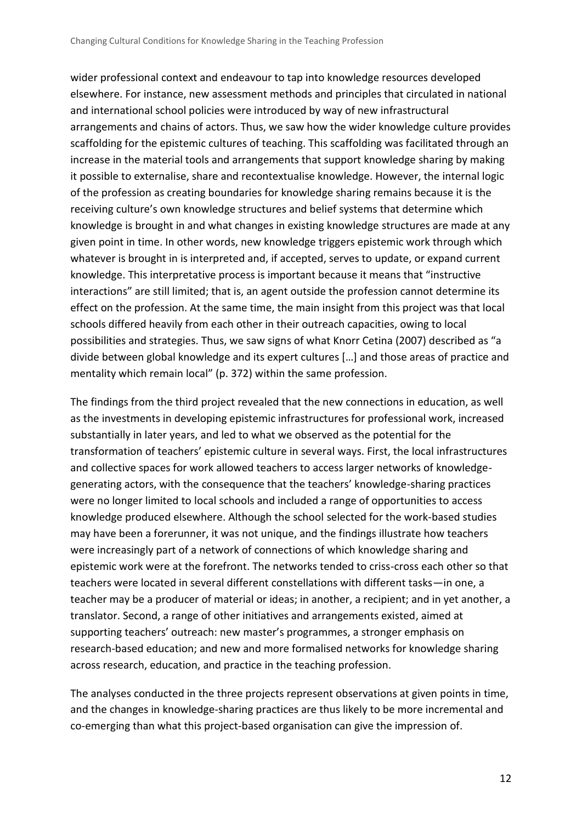wider professional context and endeavour to tap into knowledge resources developed elsewhere. For instance, new assessment methods and principles that circulated in national and international school policies were introduced by way of new infrastructural arrangements and chains of actors. Thus, we saw how the wider knowledge culture provides scaffolding for the epistemic cultures of teaching. This scaffolding was facilitated through an increase in the material tools and arrangements that support knowledge sharing by making it possible to externalise, share and recontextualise knowledge. However, the internal logic of the profession as creating boundaries for knowledge sharing remains because it is the receiving culture's own knowledge structures and belief systems that determine which knowledge is brought in and what changes in existing knowledge structures are made at any given point in time. In other words, new knowledge triggers epistemic work through which whatever is brought in is interpreted and, if accepted, serves to update, or expand current knowledge. This interpretative process is important because it means that "instructive interactions" are still limited; that is, an agent outside the profession cannot determine its effect on the profession. At the same time, the main insight from this project was that local schools differed heavily from each other in their outreach capacities, owing to local possibilities and strategies. Thus, we saw signs of what Knorr Cetina (2007) described as "a divide between global knowledge and its expert cultures […] and those areas of practice and mentality which remain local" (p. 372) within the same profession.

The findings from the third project revealed that the new connections in education, as well as the investments in developing epistemic infrastructures for professional work, increased substantially in later years, and led to what we observed as the potential for the transformation of teachers' epistemic culture in several ways. First, the local infrastructures and collective spaces for work allowed teachers to access larger networks of knowledgegenerating actors, with the consequence that the teachers' knowledge-sharing practices were no longer limited to local schools and included a range of opportunities to access knowledge produced elsewhere. Although the school selected for the work-based studies may have been a forerunner, it was not unique, and the findings illustrate how teachers were increasingly part of a network of connections of which knowledge sharing and epistemic work were at the forefront. The networks tended to criss-cross each other so that teachers were located in several different constellations with different tasks—in one, a teacher may be a producer of material or ideas; in another, a recipient; and in yet another, a translator. Second, a range of other initiatives and arrangements existed, aimed at supporting teachers' outreach: new master's programmes, a stronger emphasis on research-based education; and new and more formalised networks for knowledge sharing across research, education, and practice in the teaching profession.

The analyses conducted in the three projects represent observations at given points in time, and the changes in knowledge-sharing practices are thus likely to be more incremental and co-emerging than what this project-based organisation can give the impression of.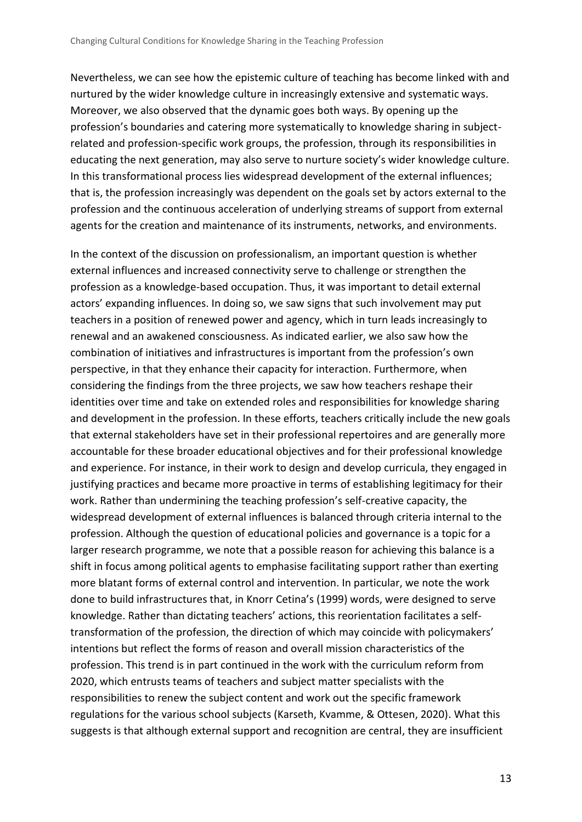Nevertheless, we can see how the epistemic culture of teaching has become linked with and nurtured by the wider knowledge culture in increasingly extensive and systematic ways. Moreover, we also observed that the dynamic goes both ways. By opening up the profession's boundaries and catering more systematically to knowledge sharing in subjectrelated and profession-specific work groups, the profession, through its responsibilities in educating the next generation, may also serve to nurture society's wider knowledge culture. In this transformational process lies widespread development of the external influences; that is, the profession increasingly was dependent on the goals set by actors external to the profession and the continuous acceleration of underlying streams of support from external agents for the creation and maintenance of its instruments, networks, and environments.

In the context of the discussion on professionalism, an important question is whether external influences and increased connectivity serve to challenge or strengthen the profession as a knowledge-based occupation. Thus, it was important to detail external actors' expanding influences. In doing so, we saw signs that such involvement may put teachers in a position of renewed power and agency, which in turn leads increasingly to renewal and an awakened consciousness. As indicated earlier, we also saw how the combination of initiatives and infrastructures is important from the profession's own perspective, in that they enhance their capacity for interaction. Furthermore, when considering the findings from the three projects, we saw how teachers reshape their identities over time and take on extended roles and responsibilities for knowledge sharing and development in the profession. In these efforts, teachers critically include the new goals that external stakeholders have set in their professional repertoires and are generally more accountable for these broader educational objectives and for their professional knowledge and experience. For instance, in their work to design and develop curricula, they engaged in justifying practices and became more proactive in terms of establishing legitimacy for their work. Rather than undermining the teaching profession's self-creative capacity, the widespread development of external influences is balanced through criteria internal to the profession. Although the question of educational policies and governance is a topic for a larger research programme, we note that a possible reason for achieving this balance is a shift in focus among political agents to emphasise facilitating support rather than exerting more blatant forms of external control and intervention. In particular, we note the work done to build infrastructures that, in Knorr Cetina's (1999) words, were designed to serve knowledge. Rather than dictating teachers' actions, this reorientation facilitates a selftransformation of the profession, the direction of which may coincide with policymakers' intentions but reflect the forms of reason and overall mission characteristics of the profession. This trend is in part continued in the work with the curriculum reform from 2020, which entrusts teams of teachers and subject matter specialists with the responsibilities to renew the subject content and work out the specific framework regulations for the various school subjects (Karseth, Kvamme, & Ottesen, 2020). What this suggests is that although external support and recognition are central, they are insufficient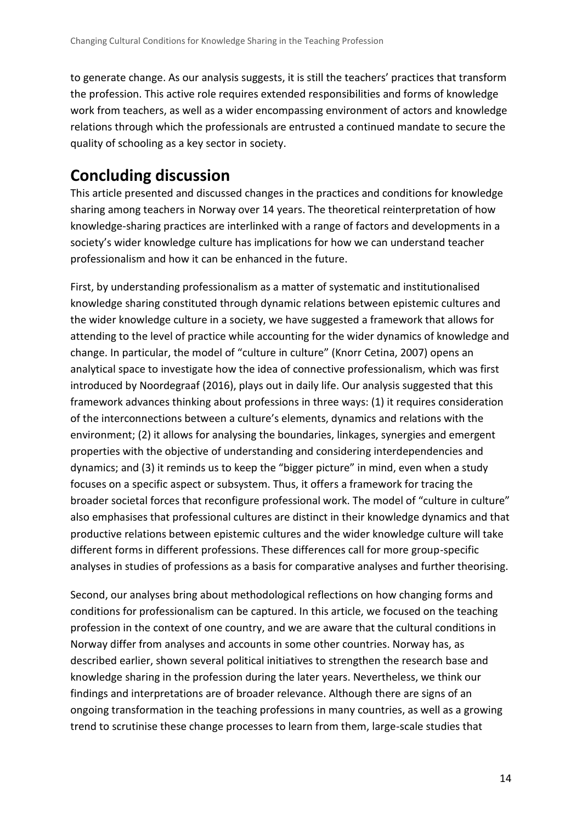to generate change. As our analysis suggests, it is still the teachers' practices that transform the profession. This active role requires extended responsibilities and forms of knowledge work from teachers, as well as a wider encompassing environment of actors and knowledge relations through which the professionals are entrusted a continued mandate to secure the quality of schooling as a key sector in society.

# **Concluding discussion**

This article presented and discussed changes in the practices and conditions for knowledge sharing among teachers in Norway over 14 years. The theoretical reinterpretation of how knowledge-sharing practices are interlinked with a range of factors and developments in a society's wider knowledge culture has implications for how we can understand teacher professionalism and how it can be enhanced in the future.

First, by understanding professionalism as a matter of systematic and institutionalised knowledge sharing constituted through dynamic relations between epistemic cultures and the wider knowledge culture in a society, we have suggested a framework that allows for attending to the level of practice while accounting for the wider dynamics of knowledge and change. In particular, the model of "culture in culture" (Knorr Cetina, 2007) opens an analytical space to investigate how the idea of connective professionalism, which was first introduced by Noordegraaf (2016), plays out in daily life. Our analysis suggested that this framework advances thinking about professions in three ways: (1) it requires consideration of the interconnections between a culture's elements, dynamics and relations with the environment; (2) it allows for analysing the boundaries, linkages, synergies and emergent properties with the objective of understanding and considering interdependencies and dynamics; and (3) it reminds us to keep the "bigger picture" in mind, even when a study focuses on a specific aspect or subsystem. Thus, it offers a framework for tracing the broader societal forces that reconfigure professional work. The model of "culture in culture" also emphasises that professional cultures are distinct in their knowledge dynamics and that productive relations between epistemic cultures and the wider knowledge culture will take different forms in different professions. These differences call for more group-specific analyses in studies of professions as a basis for comparative analyses and further theorising.

Second, our analyses bring about methodological reflections on how changing forms and conditions for professionalism can be captured. In this article, we focused on the teaching profession in the context of one country, and we are aware that the cultural conditions in Norway differ from analyses and accounts in some other countries. Norway has, as described earlier, shown several political initiatives to strengthen the research base and knowledge sharing in the profession during the later years. Nevertheless, we think our findings and interpretations are of broader relevance. Although there are signs of an ongoing transformation in the teaching professions in many countries, as well as a growing trend to scrutinise these change processes to learn from them, large-scale studies that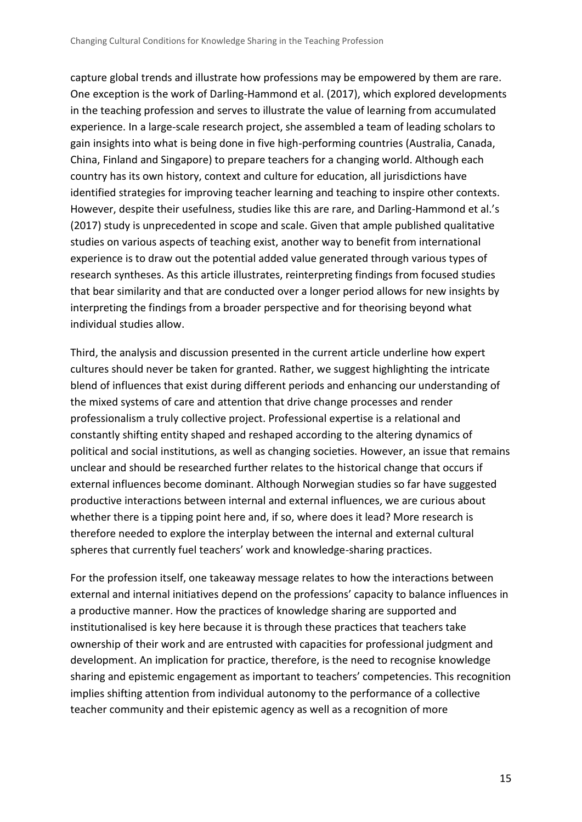capture global trends and illustrate how professions may be empowered by them are rare. One exception is the work of Darling-Hammond et al. (2017), which explored developments in the teaching profession and serves to illustrate the value of learning from accumulated experience. In a large-scale research project, she assembled a team of leading scholars to gain insights into what is being done in five high-performing countries (Australia, Canada, China, Finland and Singapore) to prepare teachers for a changing world. Although each country has its own history, context and culture for education, all jurisdictions have identified strategies for improving teacher learning and teaching to inspire other contexts. However, despite their usefulness, studies like this are rare, and Darling-Hammond et al.'s (2017) study is unprecedented in scope and scale. Given that ample published qualitative studies on various aspects of teaching exist, another way to benefit from international experience is to draw out the potential added value generated through various types of research syntheses. As this article illustrates, reinterpreting findings from focused studies that bear similarity and that are conducted over a longer period allows for new insights by interpreting the findings from a broader perspective and for theorising beyond what individual studies allow.

Third, the analysis and discussion presented in the current article underline how expert cultures should never be taken for granted. Rather, we suggest highlighting the intricate blend of influences that exist during different periods and enhancing our understanding of the mixed systems of care and attention that drive change processes and render professionalism a truly collective project. Professional expertise is a relational and constantly shifting entity shaped and reshaped according to the altering dynamics of political and social institutions, as well as changing societies. However, an issue that remains unclear and should be researched further relates to the historical change that occurs if external influences become dominant. Although Norwegian studies so far have suggested productive interactions between internal and external influences, we are curious about whether there is a tipping point here and, if so, where does it lead? More research is therefore needed to explore the interplay between the internal and external cultural spheres that currently fuel teachers' work and knowledge-sharing practices.

For the profession itself, one takeaway message relates to how the interactions between external and internal initiatives depend on the professions' capacity to balance influences in a productive manner. How the practices of knowledge sharing are supported and institutionalised is key here because it is through these practices that teachers take ownership of their work and are entrusted with capacities for professional judgment and development. An implication for practice, therefore, is the need to recognise knowledge sharing and epistemic engagement as important to teachers' competencies. This recognition implies shifting attention from individual autonomy to the performance of a collective teacher community and their epistemic agency as well as a recognition of more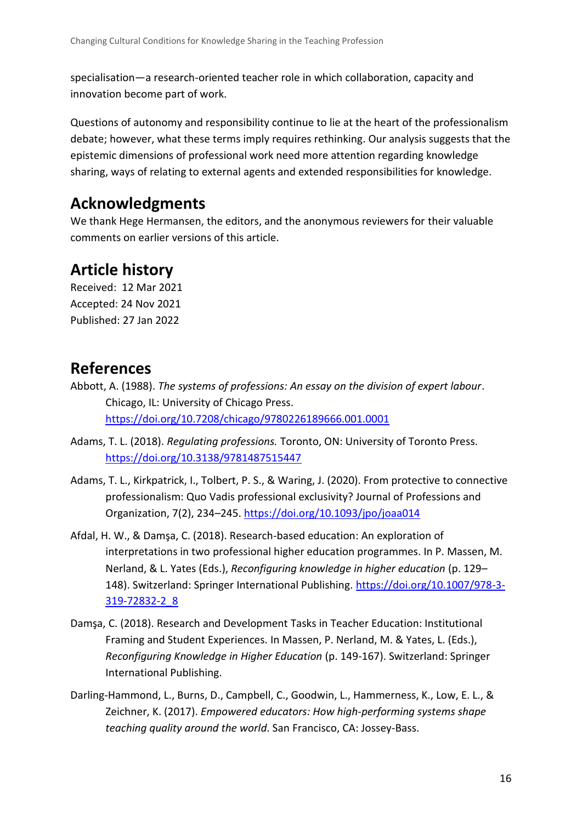specialisation—a research-oriented teacher role in which collaboration, capacity and innovation become part of work.

Questions of autonomy and responsibility continue to lie at the heart of the professionalism debate; however, what these terms imply requires rethinking. Our analysis suggests that the epistemic dimensions of professional work need more attention regarding knowledge sharing, ways of relating to external agents and extended responsibilities for knowledge.

## **Acknowledgments**

We thank Hege Hermansen, the editors, and the anonymous reviewers for their valuable comments on earlier versions of this article.

# **Article history**

Received: 12 Mar 2021 Accepted: 24 Nov 2021 Published: 27 Jan 2022

### **References**

Abbott, A. (1988). *The systems of professions: An essay on the division of expert labour*. Chicago, IL: University of Chicago Press. <https://doi.org/10.7208/chicago/9780226189666.001.0001>

- Adams, T. L. (2018). *Regulating professions.* Toronto, ON: University of Toronto Press. <https://doi.org/10.3138/9781487515447>
- Adams, T. L., Kirkpatrick, I., Tolbert, P. S., & Waring, J. (2020). From protective to connective professionalism: Quo Vadis professional exclusivity? Journal of Professions and Organization, 7(2), 234–245.<https://doi.org/10.1093/jpo/joaa014>
- Afdal, H. W., & Damşa, C. (2018). Research-based education: An exploration of interpretations in two professional higher education programmes. In P. Massen, M. Nerland, & L. Yates (Eds.), *Reconfiguring knowledge in higher education* (p. 129– 148). Switzerland: Springer International Publishing. [https://doi.org/10.1007/978-3-](https://doi.org/10.1007/978-3-319-72832-2_8) [319-72832-2\\_8](https://doi.org/10.1007/978-3-319-72832-2_8)
- Damşa, C. (2018). Research and Development Tasks in Teacher Education: Institutional Framing and Student Experiences. In Massen, P. Nerland, M. & Yates, L. (Eds.), *Reconfiguring Knowledge in Higher Education* (p. 149-167). Switzerland: Springer International Publishing.
- Darling-Hammond, L., Burns, D., Campbell, C., Goodwin, L., Hammerness, K., Low, E. L., & Zeichner, K. (2017). *Empowered educators: How high-performing systems shape teaching quality around the world*. San Francisco, CA: Jossey-Bass.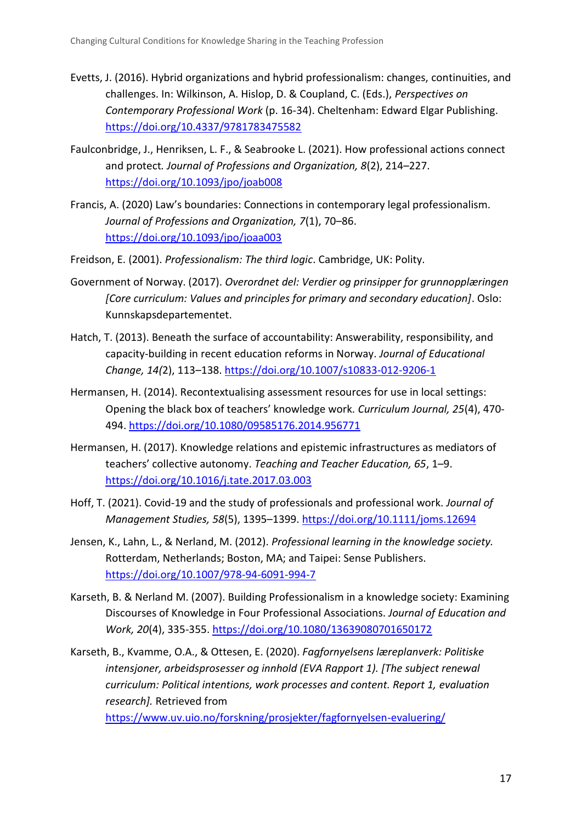- Evetts, J. (2016). Hybrid organizations and hybrid professionalism: changes, continuities, and challenges. In: Wilkinson, A. Hislop, D. & Coupland, C. (Eds.), *Perspectives on Contemporary Professional Work* (p. 16-34). Cheltenham: Edward Elgar Publishing. <https://doi.org/10.4337/9781783475582>
- Faulconbridge, J., Henriksen, L. F., & Seabrooke L. (2021). How professional actions connect and protect*. Journal of Professions and Organization, 8*(2), 214–227. <https://doi.org/10.1093/jpo/joab008>
- Francis, A. (2020) Law's boundaries: Connections in contemporary legal professionalism. *Journal of Professions and Organization, 7*(1), 70–86. <https://doi.org/10.1093/jpo/joaa003>
- Freidson, E. (2001). *Professionalism: The third logic*. Cambridge, UK: Polity.
- Government of Norway. (2017). *Overordnet del: Verdier og prinsipper for grunnopplæringen [Core curriculum: Values and principles for primary and secondary education]*. Oslo: Kunnskapsdepartementet.
- Hatch, T. (2013). Beneath the surface of accountability: Answerability, responsibility, and capacity-building in recent education reforms in Norway. *Journal of Educational Change, 14(*2), 113–138.<https://doi.org/10.1007/s10833-012-9206-1>
- Hermansen, H. (2014). Recontextualising assessment resources for use in local settings: Opening the black box of teachers' knowledge work. *Curriculum Journal, 25*(4), 470- 494.<https://doi.org/10.1080/09585176.2014.956771>
- Hermansen, H. (2017). Knowledge relations and epistemic infrastructures as mediators of teachers' collective autonomy. *Teaching and Teacher Education, 65*, 1–9. <https://doi.org/10.1016/j.tate.2017.03.003>
- Hoff, T. (2021). Covid-19 and the study of professionals and professional work. *Journal of Management Studies, 58*(5), 1395–1399.<https://doi.org/10.1111/joms.12694>
- Jensen, K., Lahn, L., & Nerland, M. (2012). *Professional learning in the knowledge society.*  Rotterdam, Netherlands; Boston, MA; and Taipei: Sense Publishers. <https://doi.org/10.1007/978-94-6091-994-7>
- Karseth, B. & Nerland M. (2007). Building Professionalism in a knowledge society: Examining Discourses of Knowledge in Four Professional Associations. *Journal of Education and Work, 20*(4), 335-355.<https://doi.org/10.1080/13639080701650172>
- Karseth, B., Kvamme, O.A., & Ottesen, E. (2020). *Fagfornyelsens læreplanverk: Politiske intensjoner, arbeidsprosesser og innhold (EVA Rapport 1). [The subject renewal curriculum: Political intentions, work processes and content. Report 1, evaluation research].* Retrieved from

<https://www.uv.uio.no/forskning/prosjekter/fagfornyelsen-evaluering/>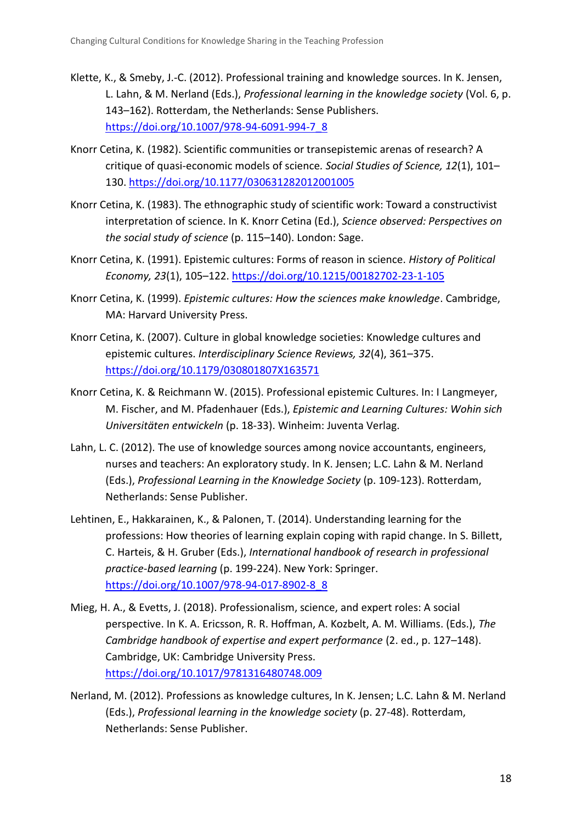- Klette, K., & Smeby, J.-C. (2012). Professional training and knowledge sources. In K. Jensen, L. Lahn, & M. Nerland (Eds.), *Professional learning in the knowledge society* (Vol. 6, p. 143–162). Rotterdam, the Netherlands: Sense Publishers. [https://doi.org/10.1007/978-94-6091-994-7\\_8](https://doi.org/10.1007/978-94-6091-994-7_8)
- Knorr Cetina, K. (1982). Scientific communities or transepistemic arenas of research? A critique of quasi-economic models of science*. Social Studies of Science, 12*(1), 101– 130.<https://doi.org/10.1177/030631282012001005>
- Knorr Cetina, K. (1983). The ethnographic study of scientific work: Toward a constructivist interpretation of science. In K. Knorr Cetina (Ed.), *Science observed: Perspectives on the social study of science* (p. 115–140). London: Sage.
- Knorr Cetina, K. (1991). Epistemic cultures: Forms of reason in science. *History of Political Economy, 23*(1), 105–122.<https://doi.org/10.1215/00182702-23-1-105>
- Knorr Cetina, K. (1999). *Epistemic cultures: How the sciences make knowledge*. Cambridge, MA: Harvard University Press.
- Knorr Cetina, K. (2007). Culture in global knowledge societies: Knowledge cultures and epistemic cultures. *Interdisciplinary Science Reviews, 32*(4), 361–375. <https://doi.org/10.1179/030801807X163571>
- Knorr Cetina, K. & Reichmann W. (2015). Professional epistemic Cultures. In: I Langmeyer, M. Fischer, and M. Pfadenhauer (Eds.), *Epistemic and Learning Cultures: Wohin sich Universitäten entwickeln* (p. 18-33). Winheim: Juventa Verlag.
- Lahn, L. C. (2012). The use of knowledge sources among novice accountants, engineers, nurses and teachers: An exploratory study. In K. Jensen; L.C. Lahn & M. Nerland (Eds.), *Professional Learning in the Knowledge Society* (p. 109-123). Rotterdam, Netherlands: Sense Publisher.
- Lehtinen, E., Hakkarainen, K., & Palonen, T. (2014). Understanding learning for the professions: How theories of learning explain coping with rapid change. In S. Billett, C. Harteis, & H. Gruber (Eds.), *International handbook of research in professional practice-based learning* (p. 199-224). New York: Springer. [https://doi.org/10.1007/978-94-017-8902-8\\_8](https://doi.org/10.1007/978-94-017-8902-8_8)
- Mieg, H. A., & Evetts, J. (2018). Professionalism, science, and expert roles: A social perspective. In K. A. Ericsson, R. R. Hoffman, A. Kozbelt, A. M. Williams. (Eds.), *The Cambridge handbook of expertise and expert performance* (2. ed., p. 127–148). Cambridge, UK: Cambridge University Press. <https://doi.org/10.1017/9781316480748.009>
- Nerland, M. (2012). Professions as knowledge cultures, In K. Jensen; L.C. Lahn & M. Nerland (Eds.), *Professional learning in the knowledge society* (p. 27-48). Rotterdam, Netherlands: Sense Publisher.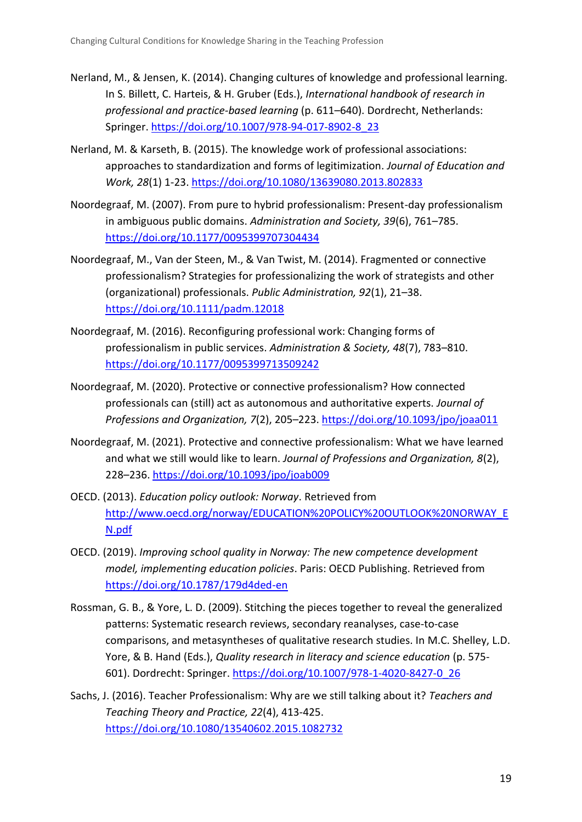- Nerland, M., & Jensen, K. (2014). Changing cultures of knowledge and professional learning. In S. Billett, C. Harteis, & H. Gruber (Eds.), *International handbook of research in professional and practice-based learning* (p. 611–640). Dordrecht, Netherlands: Springer[. https://doi.org/10.1007/978-94-017-8902-8\\_23](https://doi.org/10.1007/978-94-017-8902-8_23)
- Nerland, M. & Karseth, B. (2015). The knowledge work of professional associations: approaches to standardization and forms of legitimization. *Journal of Education and Work, 28*(1) 1-23.<https://doi.org/10.1080/13639080.2013.802833>
- Noordegraaf, M. (2007). From pure to hybrid professionalism: Present-day professionalism in ambiguous public domains. *Administration and Society, 39*(6), 761–785. <https://doi.org/10.1177/0095399707304434>
- Noordegraaf, M., Van der Steen, M., & Van Twist, M. (2014). Fragmented or connective professionalism? Strategies for professionalizing the work of strategists and other (organizational) professionals. *Public Administration, 92*(1), 21–38. <https://doi.org/10.1111/padm.12018>
- Noordegraaf, M. (2016). Reconfiguring professional work: Changing forms of professionalism in public services. *Administration & Society, 48*(7), 783–810. <https://doi.org/10.1177/0095399713509242>
- Noordegraaf, M. (2020). Protective or connective professionalism? How connected professionals can (still) act as autonomous and authoritative experts. *Journal of Professions and Organization, 7*(2), 205–223.<https://doi.org/10.1093/jpo/joaa011>
- Noordegraaf, M. (2021). Protective and connective professionalism: What we have learned and what we still would like to learn. *Journal of Professions and Organization, 8*(2), 228–236.<https://doi.org/10.1093/jpo/joab009>
- OECD. (2013). *Education policy outlook: Norway*. Retrieved from [http://www.oecd.org/norway/EDUCATION%20POLICY%20OUTLOOK%20NORWAY\\_E](http://www.oecd.org/norway/EDUCATION%20POLICY%20OUTLOOK%20NORWAY_EN.pdf) [N.pdf](http://www.oecd.org/norway/EDUCATION%20POLICY%20OUTLOOK%20NORWAY_EN.pdf)
- OECD. (2019). *Improving school quality in Norway: The new competence development model, implementing education policies*. Paris: OECD Publishing. Retrieved from <https://doi.org/10.1787/179d4ded-en>
- Rossman, G. B., & Yore, L. D. (2009). Stitching the pieces together to reveal the generalized patterns: Systematic research reviews, secondary reanalyses, case-to-case comparisons, and metasyntheses of qualitative research studies. In M.C. Shelley, L.D. Yore, & B. Hand (Eds.), *Quality research in literacy and science education* (p. 575- 601). Dordrecht: Springer. [https://doi.org/10.1007/978-1-4020-8427-0\\_26](https://doi.org/10.1007/978-1-4020-8427-0_26)
- Sachs, J. (2016). Teacher Professionalism: Why are we still talking about it? *Teachers and Teaching Theory and Practice, 22*(4), 413-425. <https://doi.org/10.1080/13540602.2015.1082732>